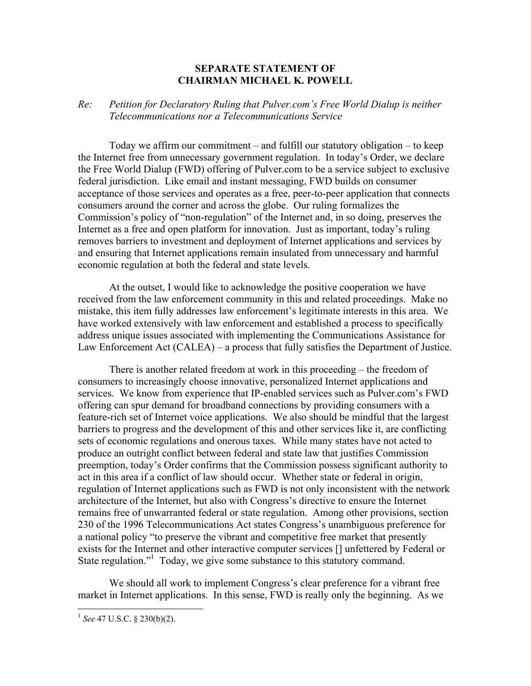## **SEPARATE STATEMENT OF CHAIRMAN MICHAEL K. POWELL**

## *Re: Petition for Declaratory Ruling that Pulver.com's Free World Dialup is neither Telecommunications nor a Telecommunications Service*

Today we affirm our commitment – and fulfill our statutory obligation – to keep the Internet free from unnecessary government regulation. In today's Order, we declare the Free World Dialup (FWD) offering of Pulver.com to be a service subject to exclusive federal jurisdiction. Like email and instant messaging, FWD builds on consumer acceptance of those services and operates as a free, peer-to-peer application that connects consumers around the corner and across the globe. Our ruling formalizes the Commission's policy of "non-regulation" of the Internet and, in so doing, preserves the Internet as a free and open platform for innovation. Just as important, today's ruling removes barriers to investment and deployment of Internet applications and services by and ensuring that Internet applications remain insulated from unnecessary and harmful economic regulation at both the federal and state levels.

At the outset, I would like to acknowledge the positive cooperation we have received from the law enforcement community in this and related proceedings. Make no mistake, this item fully addresses law enforcement's legitimate interests in this area. We have worked extensively with law enforcement and established a process to specifically address unique issues associated with implementing the Communications Assistance for Law Enforcement Act (CALEA) – a process that fully satisfies the Department of Justice.

There is another related freedom at work in this proceeding – the freedom of consumers to increasingly choose innovative, personalized Internet applications and services. We know from experience that IP-enabled services such as Pulver.com's FWD offering can spur demand for broadband connections by providing consumers with a feature-rich set of Internet voice applications. We also should be mindful that the largest barriers to progress and the development of this and other services like it, are conflicting sets of economic regulations and onerous taxes. While many states have not acted to produce an outright conflict between federal and state law that justifies Commission preemption, today's Order confirms that the Commission possess significant authority to act in this area if a conflict of law should occur. Whether state or federal in origin, regulation of Internet applications such as FWD is not only inconsistent with the network architecture of the Internet, but also with Congress's directive to ensure the Internet remains free of unwarranted federal or state regulation. Among other provisions, section 230 of the 1996 Telecommunications Act states Congress's unambiguous preference for a national policy "to preserve the vibrant and competitive free market that presently exists for the Internet and other interactive computer services [] unfettered by Federal or State regulation."<sup>1</sup> Today, we give some substance to this statutory command.

We should all work to implement Congress's clear preference for a vibrant free market in Internet applications. In this sense, FWD is really only the beginning. As we

<u>.</u>

<sup>1</sup> *See* 47 U.S.C. § 230(b)(2).